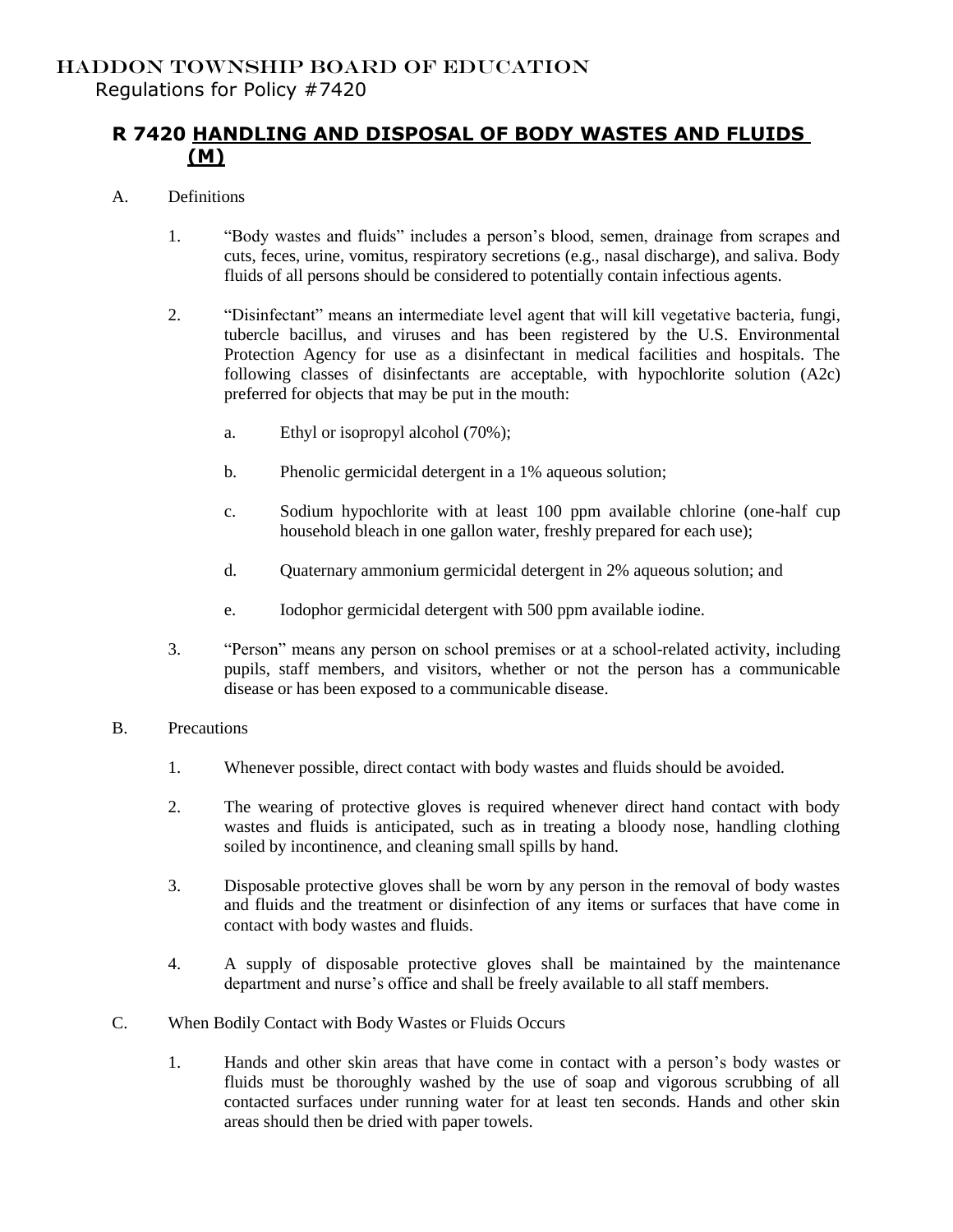## **R 7420 HANDLING AND DISPOSAL OF BODY WASTES AND FLUIDS (M)**

- A. Definitions
	- 1. "Body wastes and fluids" includes a person's blood, semen, drainage from scrapes and cuts, feces, urine, vomitus, respiratory secretions (e.g., nasal discharge), and saliva. Body fluids of all persons should be considered to potentially contain infectious agents.
	- 2. "Disinfectant" means an intermediate level agent that will kill vegetative bacteria, fungi, tubercle bacillus, and viruses and has been registered by the U.S. Environmental Protection Agency for use as a disinfectant in medical facilities and hospitals. The following classes of disinfectants are acceptable, with hypochlorite solution (A2c) preferred for objects that may be put in the mouth:
		- a. Ethyl or isopropyl alcohol (70%);
		- b. Phenolic germicidal detergent in a 1% aqueous solution;
		- c. Sodium hypochlorite with at least 100 ppm available chlorine (one-half cup household bleach in one gallon water, freshly prepared for each use);
		- d. Quaternary ammonium germicidal detergent in 2% aqueous solution; and
		- e. Iodophor germicidal detergent with 500 ppm available iodine.
	- 3. "Person" means any person on school premises or at a school-related activity, including pupils, staff members, and visitors, whether or not the person has a communicable disease or has been exposed to a communicable disease.
- B. Precautions
	- 1. Whenever possible, direct contact with body wastes and fluids should be avoided.
	- 2. The wearing of protective gloves is required whenever direct hand contact with body wastes and fluids is anticipated, such as in treating a bloody nose, handling clothing soiled by incontinence, and cleaning small spills by hand.
	- 3. Disposable protective gloves shall be worn by any person in the removal of body wastes and fluids and the treatment or disinfection of any items or surfaces that have come in contact with body wastes and fluids.
	- 4. A supply of disposable protective gloves shall be maintained by the maintenance department and nurse's office and shall be freely available to all staff members.
- C. When Bodily Contact with Body Wastes or Fluids Occurs
	- 1. Hands and other skin areas that have come in contact with a person's body wastes or fluids must be thoroughly washed by the use of soap and vigorous scrubbing of all contacted surfaces under running water for at least ten seconds. Hands and other skin areas should then be dried with paper towels.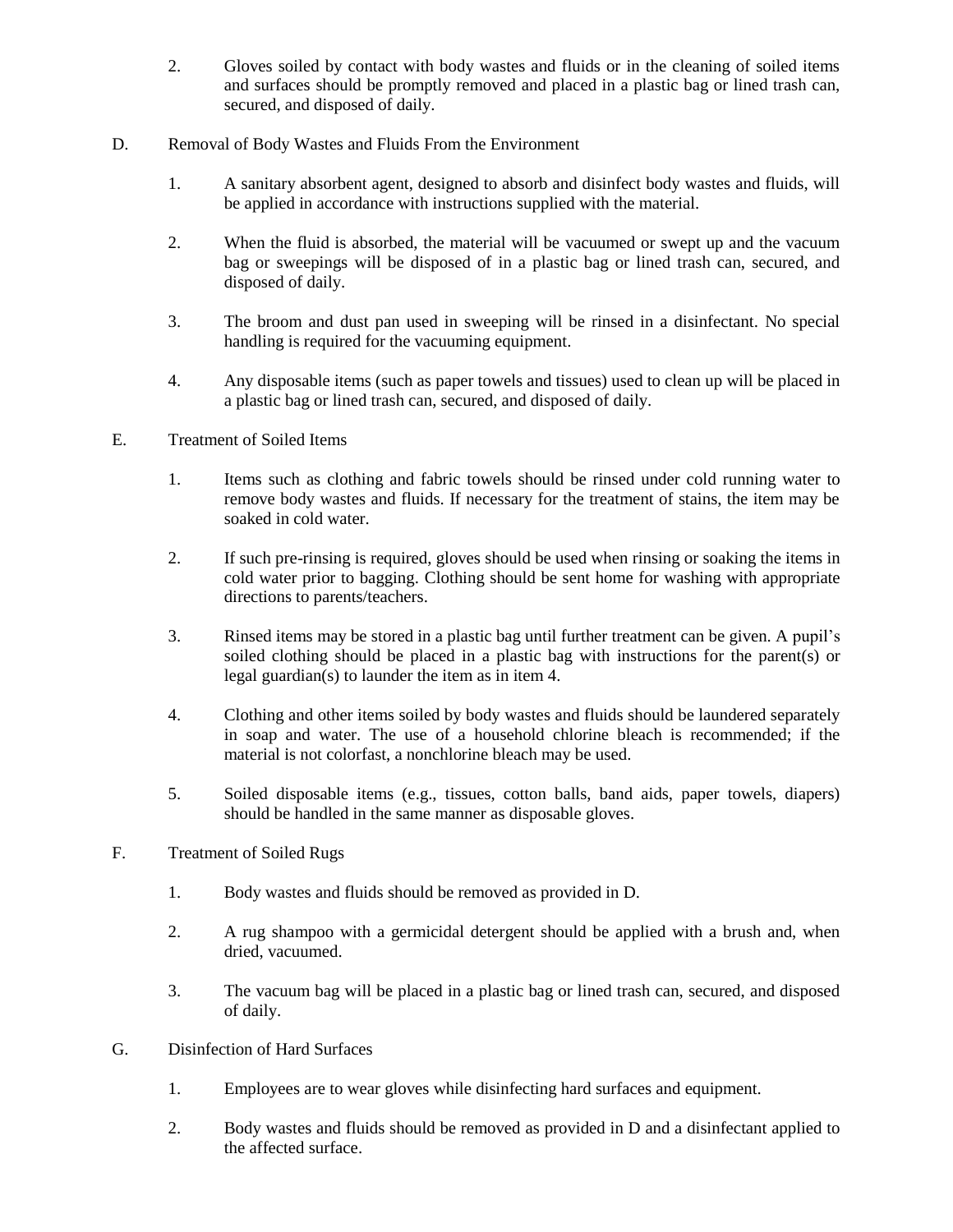- 2. Gloves soiled by contact with body wastes and fluids or in the cleaning of soiled items and surfaces should be promptly removed and placed in a plastic bag or lined trash can, secured, and disposed of daily.
- D. Removal of Body Wastes and Fluids From the Environment
	- 1. A sanitary absorbent agent, designed to absorb and disinfect body wastes and fluids, will be applied in accordance with instructions supplied with the material.
	- 2. When the fluid is absorbed, the material will be vacuumed or swept up and the vacuum bag or sweepings will be disposed of in a plastic bag or lined trash can, secured, and disposed of daily.
	- 3. The broom and dust pan used in sweeping will be rinsed in a disinfectant. No special handling is required for the vacuuming equipment.
	- 4. Any disposable items (such as paper towels and tissues) used to clean up will be placed in a plastic bag or lined trash can, secured, and disposed of daily.
- E. Treatment of Soiled Items
	- 1. Items such as clothing and fabric towels should be rinsed under cold running water to remove body wastes and fluids. If necessary for the treatment of stains, the item may be soaked in cold water.
	- 2. If such pre-rinsing is required, gloves should be used when rinsing or soaking the items in cold water prior to bagging. Clothing should be sent home for washing with appropriate directions to parents/teachers.
	- 3. Rinsed items may be stored in a plastic bag until further treatment can be given. A pupil's soiled clothing should be placed in a plastic bag with instructions for the parent(s) or legal guardian(s) to launder the item as in item 4.
	- 4. Clothing and other items soiled by body wastes and fluids should be laundered separately in soap and water. The use of a household chlorine bleach is recommended; if the material is not colorfast, a nonchlorine bleach may be used.
	- 5. Soiled disposable items (e.g., tissues, cotton balls, band aids, paper towels, diapers) should be handled in the same manner as disposable gloves.
- F. Treatment of Soiled Rugs
	- 1. Body wastes and fluids should be removed as provided in D.
	- 2. A rug shampoo with a germicidal detergent should be applied with a brush and, when dried, vacuumed.
	- 3. The vacuum bag will be placed in a plastic bag or lined trash can, secured, and disposed of daily.
- G. Disinfection of Hard Surfaces
	- 1. Employees are to wear gloves while disinfecting hard surfaces and equipment.
	- 2. Body wastes and fluids should be removed as provided in D and a disinfectant applied to the affected surface.